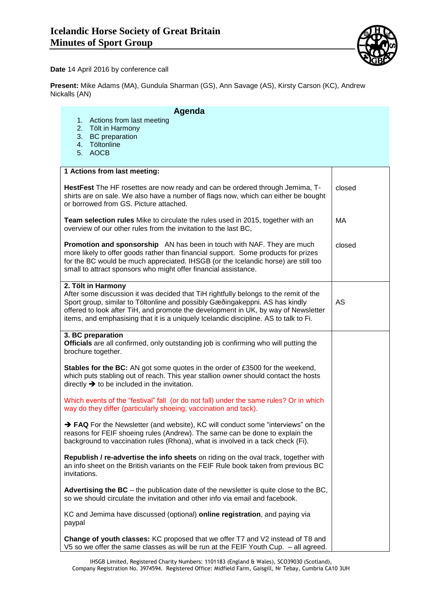

**Date** 14 April 2016 by conference call

**Present:** Mike Adams (MA), Gundula Sharman (GS), Ann Savage (AS), Kirsty Carson (KC), Andrew Nickalls (AN)

## **Agenda**

- 1. Actions from last meeting
- 2. Tölt in Harmony
- 3. BC preparation
- 4. Töltonline
- 5. AOCB

| 1 Actions from last meeting:                                                                                                                                                                                                                                                                                                                                             |           |
|--------------------------------------------------------------------------------------------------------------------------------------------------------------------------------------------------------------------------------------------------------------------------------------------------------------------------------------------------------------------------|-----------|
| HestFest The HF rosettes are now ready and can be ordered through Jemima, T-<br>shirts are on sale. We also have a number of flags now, which can either be bought<br>or borrowed from GS. Picture attached.                                                                                                                                                             | closed    |
| Team selection rules Mike to circulate the rules used in 2015, together with an<br>overview of our other rules from the invitation to the last BC,                                                                                                                                                                                                                       | МA        |
| Promotion and sponsorship AN has been in touch with NAF. They are much<br>more likely to offer goods rather than financial support. Some products for prizes<br>for the BC would be much appreciated. IHSGB (or the Icelandic horse) are still too<br>small to attract sponsors who might offer financial assistance.                                                    | closed    |
| 2. Tölt in Harmony<br>After some discussion it was decided that TiH rightfully belongs to the remit of the<br>Sport group, similar to Töltonline and possibly Gæðingakeppni. AS has kindly<br>offered to look after TiH, and promote the development in UK, by way of Newsletter<br>items, and emphasising that it is a uniquely Icelandic discipline. AS to talk to Fi. | <b>AS</b> |
| 3. BC preparation<br><b>Officials</b> are all confirmed, only outstanding job is confirming who will putting the<br>brochure together.                                                                                                                                                                                                                                   |           |
| Stables for the BC: AN got some quotes in the order of £3500 for the weekend,<br>which puts stabling out of reach. This year stallion owner should contact the hosts<br>directly $\rightarrow$ to be included in the invitation.                                                                                                                                         |           |
| Which events of the "festival" fall (or do not fall) under the same rules? Or in which<br>way do they differ (particularly shoeing, vaccination and tack).                                                                                                                                                                                                               |           |
| $\rightarrow$ FAQ For the Newsletter (and website), KC will conduct some "interviews" on the<br>reasons for FEIF shoeing rules (Andrew). The same can be done to explain the<br>background to vaccination rules (Rhona), what is involved in a tack check (Fi).                                                                                                          |           |
| Republish / re-advertise the info sheets on riding on the oval track, together with<br>an info sheet on the British variants on the FEIF Rule book taken from previous BC<br>invitations.                                                                                                                                                                                |           |
| Advertising the $BC$ – the publication date of the newsletter is quite close to the $BC$ ,<br>so we should circulate the invitation and other info via email and facebook.                                                                                                                                                                                               |           |
| KC and Jemima have discussed (optional) online registration, and paying via<br>paypal                                                                                                                                                                                                                                                                                    |           |
| Change of youth classes: KC proposed that we offer T7 and V2 instead of T8 and<br>V5 so we offer the same classes as will be run at the FEIF Youth Cup. - all agreed.                                                                                                                                                                                                    |           |